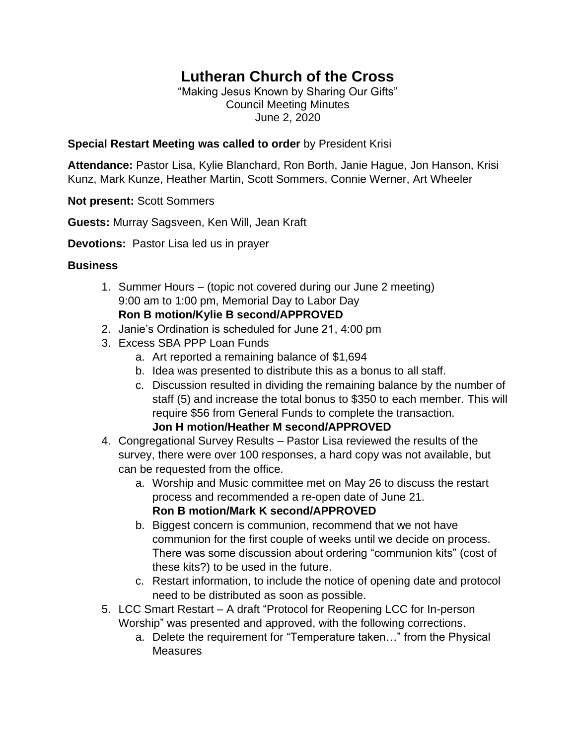## **Lutheran Church of the Cross**

"Making Jesus Known by Sharing Our Gifts" Council Meeting Minutes June 2, 2020

## **Special Restart Meeting was called to order** by President Krisi

**Attendance:** Pastor Lisa, Kylie Blanchard, Ron Borth, Janie Hague, Jon Hanson, Krisi Kunz, Mark Kunze, Heather Martin, Scott Sommers, Connie Werner, Art Wheeler

**Not present:** Scott Sommers

**Guests:** Murray Sagsveen, Ken Will, Jean Kraft

**Devotions:** Pastor Lisa led us in prayer

## **Business**

- 1. Summer Hours (topic not covered during our June 2 meeting) 9:00 am to 1:00 pm, Memorial Day to Labor Day **Ron B motion/Kylie B second/APPROVED**
- 2. Janie's Ordination is scheduled for June 21, 4:00 pm
- 3. Excess SBA PPP Loan Funds
	- a. Art reported a remaining balance of \$1,694
	- b. Idea was presented to distribute this as a bonus to all staff.
	- c. Discussion resulted in dividing the remaining balance by the number of staff (5) and increase the total bonus to \$350 to each member. This will require \$56 from General Funds to complete the transaction. **Jon H motion/Heather M second/APPROVED**
- 4. Congregational Survey Results Pastor Lisa reviewed the results of the survey, there were over 100 responses, a hard copy was not available, but can be requested from the office.
	- a. Worship and Music committee met on May 26 to discuss the restart process and recommended a re-open date of June 21. **Ron B motion/Mark K second/APPROVED**
	- b. Biggest concern is communion, recommend that we not have communion for the first couple of weeks until we decide on process. There was some discussion about ordering "communion kits" (cost of these kits?) to be used in the future.
	- c. Restart information, to include the notice of opening date and protocol need to be distributed as soon as possible.
- 5. LCC Smart Restart A draft "Protocol for Reopening LCC for In-person Worship" was presented and approved, with the following corrections.
	- a. Delete the requirement for "Temperature taken…" from the Physical **Measures**